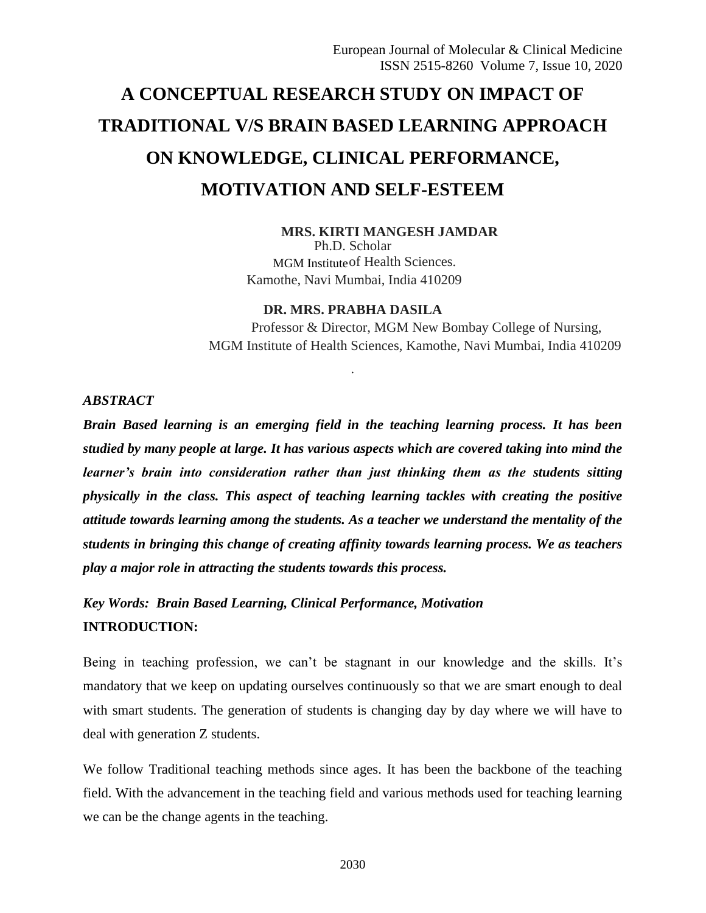# **A CONCEPTUAL RESEARCH STUDY ON IMPACT OF TRADITIONAL V/S BRAIN BASED LEARNING APPROACH ON KNOWLEDGE, CLINICAL PERFORMANCE, MOTIVATION AND SELF-ESTEEM**

### **MRS. KIRTI MANGESH JAMDAR**

Ph.D. Scholar MGM Institute of Health Sciences. Kamothe, Navi Mumbai, India 410209

### **DR. MRS. PRABHA DASILA**

.

Professor & Director, MGM New Bombay College of Nursing, MGM Institute of Health Sciences, Kamothe, Navi Mumbai, India 410209

### *ABSTRACT*

*Brain Based learning is an emerging field in the teaching learning process. It has been studied by many people at large. It has various aspects which are covered taking into mind the learner's brain into consideration rather than just thinking them as the students sitting physically in the class. This aspect of teaching learning tackles with creating the positive attitude towards learning among the students. As a teacher we understand the mentality of the students in bringing this change of creating affinity towards learning process. We as teachers play a major role in attracting the students towards this process.* 

*Key Words: Brain Based Learning, Clinical Performance, Motivation* **INTRODUCTION:**

Being in teaching profession, we can't be stagnant in our knowledge and the skills. It's mandatory that we keep on updating ourselves continuously so that we are smart enough to deal with smart students. The generation of students is changing day by day where we will have to deal with generation Z students.

We follow Traditional teaching methods since ages. It has been the backbone of the teaching field. With the advancement in the teaching field and various methods used for teaching learning we can be the change agents in the teaching.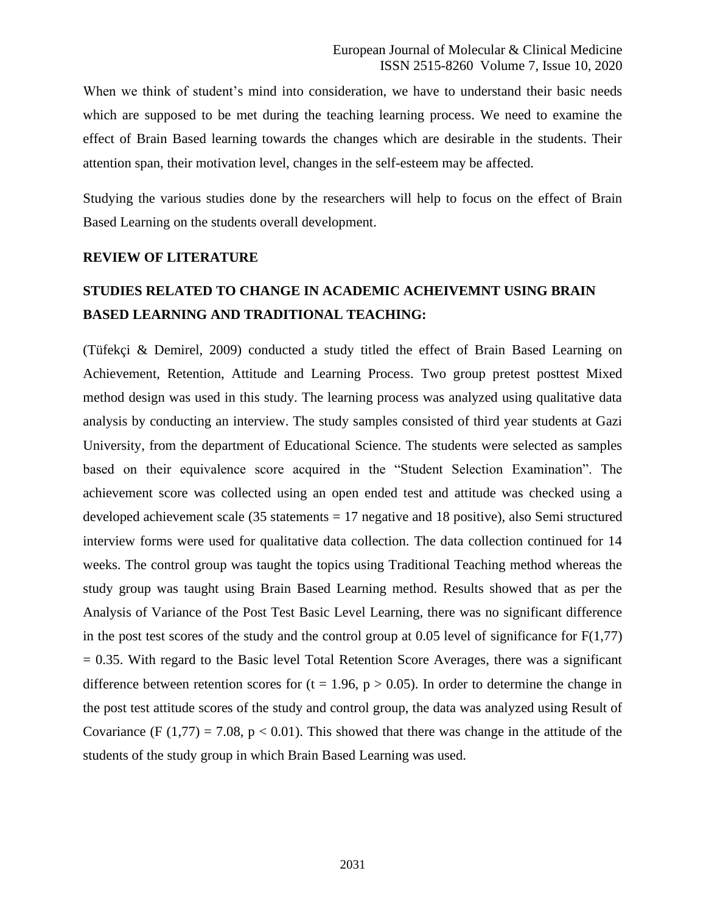When we think of student's mind into consideration, we have to understand their basic needs which are supposed to be met during the teaching learning process. We need to examine the effect of Brain Based learning towards the changes which are desirable in the students. Their attention span, their motivation level, changes in the self-esteem may be affected.

Studying the various studies done by the researchers will help to focus on the effect of Brain Based Learning on the students overall development.

#### **REVIEW OF LITERATURE**

# **STUDIES RELATED TO CHANGE IN ACADEMIC ACHEIVEMNT USING BRAIN BASED LEARNING AND TRADITIONAL TEACHING:**

(Tüfekçi & Demirel, 2009) conducted a study titled the effect of Brain Based Learning on Achievement, Retention, Attitude and Learning Process. Two group pretest posttest Mixed method design was used in this study. The learning process was analyzed using qualitative data analysis by conducting an interview. The study samples consisted of third year students at Gazi University, from the department of Educational Science. The students were selected as samples based on their equivalence score acquired in the "Student Selection Examination". The achievement score was collected using an open ended test and attitude was checked using a developed achievement scale (35 statements = 17 negative and 18 positive), also Semi structured interview forms were used for qualitative data collection. The data collection continued for 14 weeks. The control group was taught the topics using Traditional Teaching method whereas the study group was taught using Brain Based Learning method. Results showed that as per the Analysis of Variance of the Post Test Basic Level Learning, there was no significant difference in the post test scores of the study and the control group at 0.05 level of significance for  $F(1,77)$  $= 0.35$ . With regard to the Basic level Total Retention Score Averages, there was a significant difference between retention scores for  $(t = 1.96, p > 0.05)$ . In order to determine the change in the post test attitude scores of the study and control group, the data was analyzed using Result of Covariance (F (1,77) = 7.08,  $p < 0.01$ ). This showed that there was change in the attitude of the students of the study group in which Brain Based Learning was used.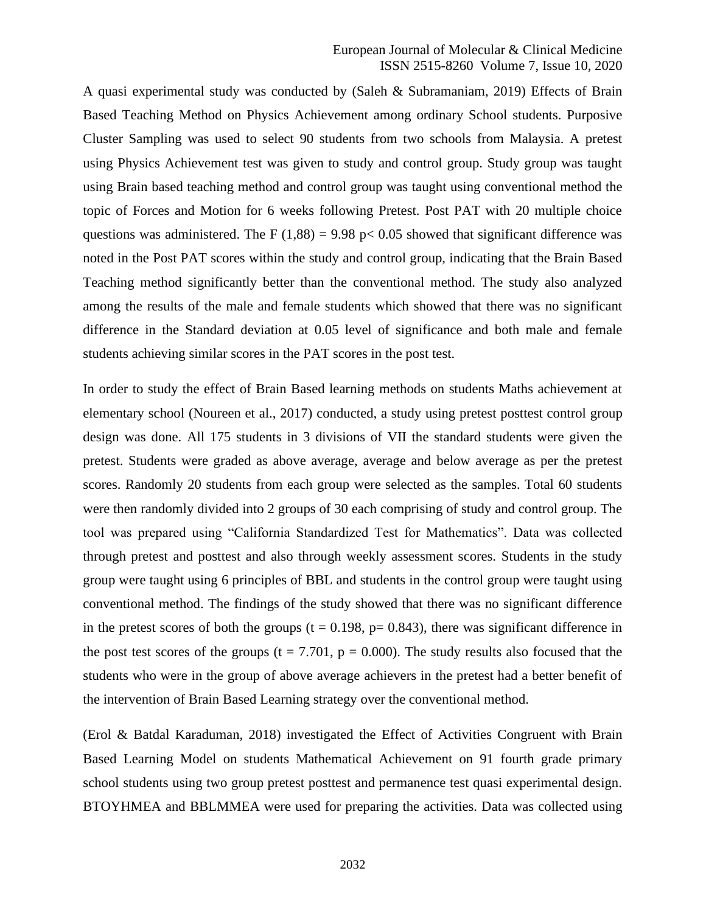A quasi experimental study was conducted by (Saleh & Subramaniam, 2019) Effects of Brain Based Teaching Method on Physics Achievement among ordinary School students. Purposive Cluster Sampling was used to select 90 students from two schools from Malaysia. A pretest using Physics Achievement test was given to study and control group. Study group was taught using Brain based teaching method and control group was taught using conventional method the topic of Forces and Motion for 6 weeks following Pretest. Post PAT with 20 multiple choice questions was administered. The F (1,88) = 9.98 p < 0.05 showed that significant difference was noted in the Post PAT scores within the study and control group, indicating that the Brain Based Teaching method significantly better than the conventional method. The study also analyzed among the results of the male and female students which showed that there was no significant difference in the Standard deviation at 0.05 level of significance and both male and female students achieving similar scores in the PAT scores in the post test.

In order to study the effect of Brain Based learning methods on students Maths achievement at elementary school (Noureen et al., 2017) conducted, a study using pretest posttest control group design was done. All 175 students in 3 divisions of VII the standard students were given the pretest. Students were graded as above average, average and below average as per the pretest scores. Randomly 20 students from each group were selected as the samples. Total 60 students were then randomly divided into 2 groups of 30 each comprising of study and control group. The tool was prepared using "California Standardized Test for Mathematics". Data was collected through pretest and posttest and also through weekly assessment scores. Students in the study group were taught using 6 principles of BBL and students in the control group were taught using conventional method. The findings of the study showed that there was no significant difference in the pretest scores of both the groups ( $t = 0.198$ ,  $p = 0.843$ ), there was significant difference in the post test scores of the groups  $(t = 7.701, p = 0.000)$ . The study results also focused that the students who were in the group of above average achievers in the pretest had a better benefit of the intervention of Brain Based Learning strategy over the conventional method.

(Erol & Batdal Karaduman, 2018) investigated the Effect of Activities Congruent with Brain Based Learning Model on students Mathematical Achievement on 91 fourth grade primary school students using two group pretest posttest and permanence test quasi experimental design. BTOYHMEA and BBLMMEA were used for preparing the activities. Data was collected using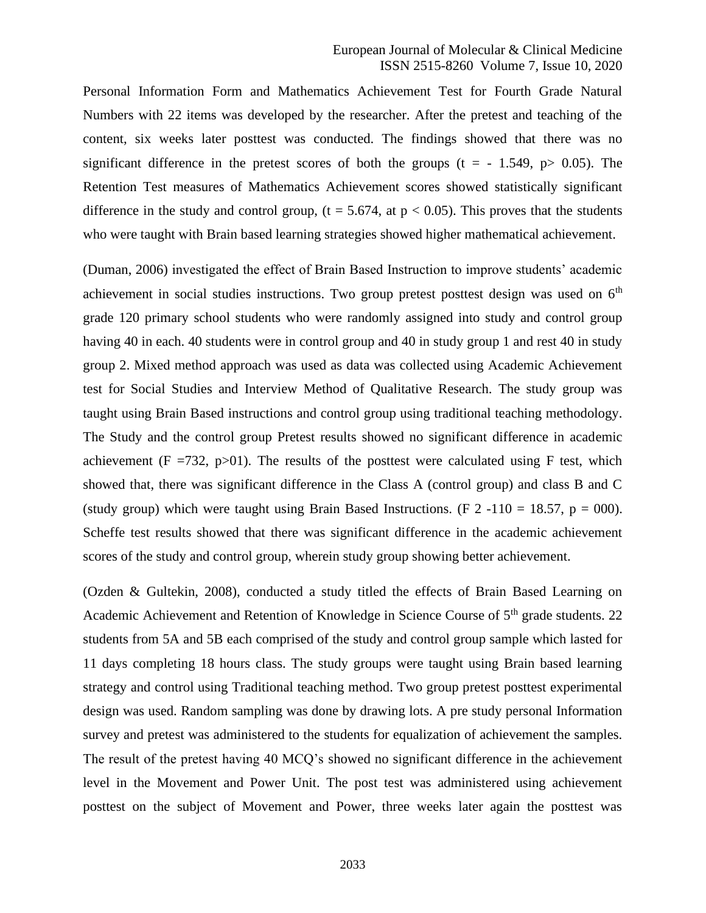Personal Information Form and Mathematics Achievement Test for Fourth Grade Natural Numbers with 22 items was developed by the researcher. After the pretest and teaching of the content, six weeks later posttest was conducted. The findings showed that there was no significant difference in the pretest scores of both the groups ( $t = -1.549$ ,  $p > 0.05$ ). The Retention Test measures of Mathematics Achievement scores showed statistically significant difference in the study and control group,  $(t = 5.674, at p < 0.05)$ . This proves that the students who were taught with Brain based learning strategies showed higher mathematical achievement.

(Duman, 2006) investigated the effect of Brain Based Instruction to improve students' academic achievement in social studies instructions. Two group pretest posttest design was used on  $6<sup>th</sup>$ grade 120 primary school students who were randomly assigned into study and control group having 40 in each. 40 students were in control group and 40 in study group 1 and rest 40 in study group 2. Mixed method approach was used as data was collected using Academic Achievement test for Social Studies and Interview Method of Qualitative Research. The study group was taught using Brain Based instructions and control group using traditional teaching methodology. The Study and the control group Pretest results showed no significant difference in academic achievement ( $F = 732$ , p $> 01$ ). The results of the posttest were calculated using F test, which showed that, there was significant difference in the Class A (control group) and class B and C (study group) which were taught using Brain Based Instructions. (F 2 -110 = 18.57,  $p = 000$ ). Scheffe test results showed that there was significant difference in the academic achievement scores of the study and control group, wherein study group showing better achievement.

(Ozden & Gultekin, 2008), conducted a study titled the effects of Brain Based Learning on Academic Achievement and Retention of Knowledge in Science Course of 5<sup>th</sup> grade students. 22 students from 5A and 5B each comprised of the study and control group sample which lasted for 11 days completing 18 hours class. The study groups were taught using Brain based learning strategy and control using Traditional teaching method. Two group pretest posttest experimental design was used. Random sampling was done by drawing lots. A pre study personal Information survey and pretest was administered to the students for equalization of achievement the samples. The result of the pretest having 40 MCQ's showed no significant difference in the achievement level in the Movement and Power Unit. The post test was administered using achievement posttest on the subject of Movement and Power, three weeks later again the posttest was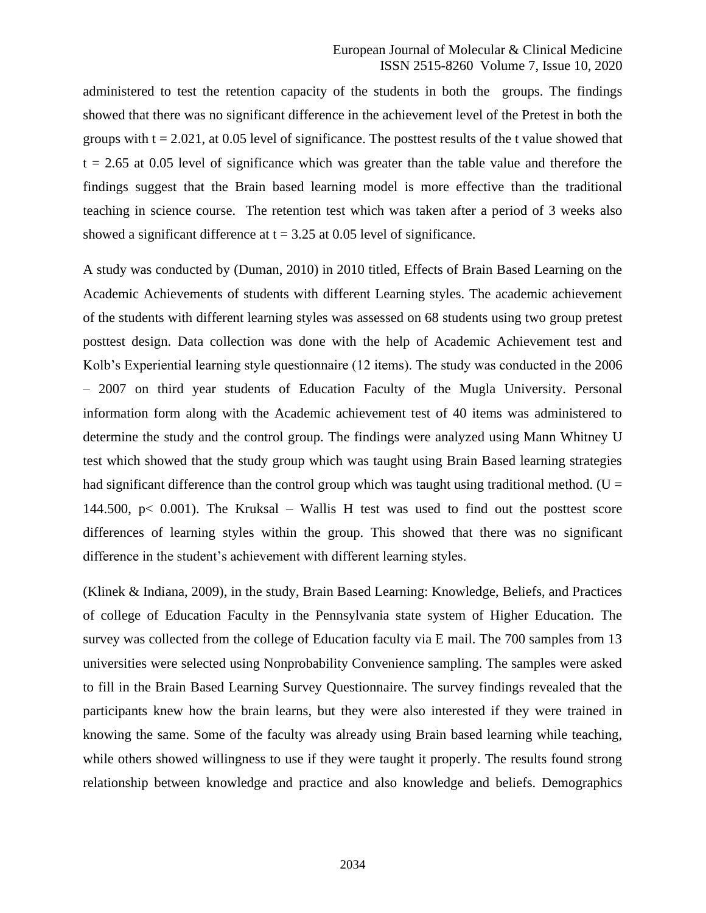administered to test the retention capacity of the students in both the groups. The findings showed that there was no significant difference in the achievement level of the Pretest in both the groups with  $t = 2.021$ , at 0.05 level of significance. The posttest results of the t value showed that  $t = 2.65$  at 0.05 level of significance which was greater than the table value and therefore the findings suggest that the Brain based learning model is more effective than the traditional teaching in science course. The retention test which was taken after a period of 3 weeks also showed a significant difference at  $t = 3.25$  at 0.05 level of significance.

A study was conducted by (Duman, 2010) in 2010 titled, Effects of Brain Based Learning on the Academic Achievements of students with different Learning styles. The academic achievement of the students with different learning styles was assessed on 68 students using two group pretest posttest design. Data collection was done with the help of Academic Achievement test and Kolb's Experiential learning style questionnaire (12 items). The study was conducted in the 2006 – 2007 on third year students of Education Faculty of the Mugla University. Personal information form along with the Academic achievement test of 40 items was administered to determine the study and the control group. The findings were analyzed using Mann Whitney U test which showed that the study group which was taught using Brain Based learning strategies had significant difference than the control group which was taught using traditional method. ( $U =$ 144.500, p $\lt$  0.001). The Kruksal – Wallis H test was used to find out the posttest score differences of learning styles within the group. This showed that there was no significant difference in the student's achievement with different learning styles.

(Klinek & Indiana, 2009), in the study, Brain Based Learning: Knowledge, Beliefs, and Practices of college of Education Faculty in the Pennsylvania state system of Higher Education. The survey was collected from the college of Education faculty via E mail. The 700 samples from 13 universities were selected using Nonprobability Convenience sampling. The samples were asked to fill in the Brain Based Learning Survey Questionnaire. The survey findings revealed that the participants knew how the brain learns, but they were also interested if they were trained in knowing the same. Some of the faculty was already using Brain based learning while teaching, while others showed willingness to use if they were taught it properly. The results found strong relationship between knowledge and practice and also knowledge and beliefs. Demographics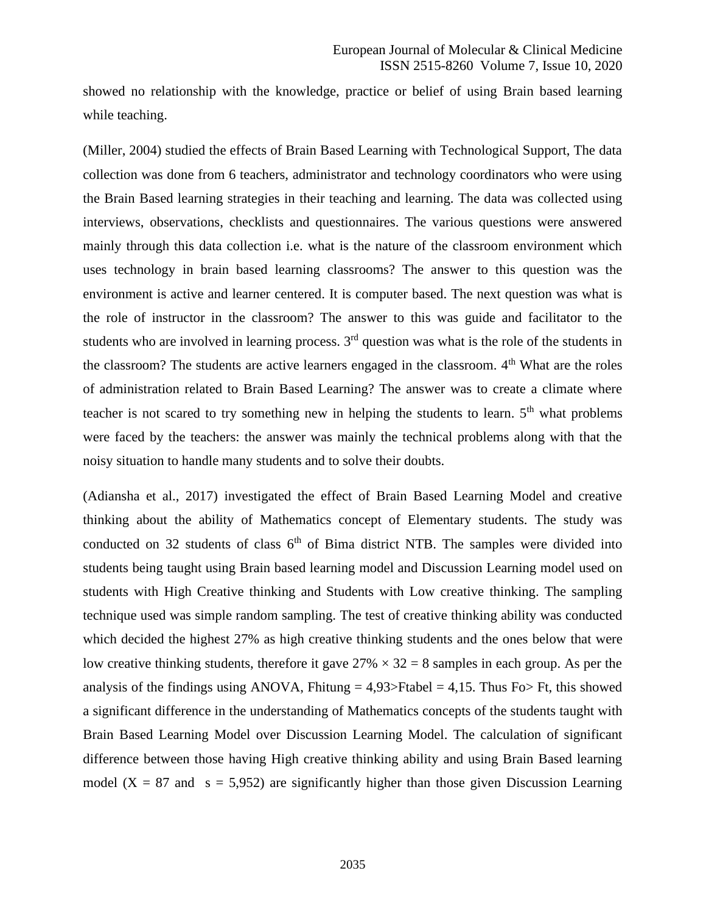showed no relationship with the knowledge, practice or belief of using Brain based learning while teaching.

(Miller, 2004) studied the effects of Brain Based Learning with Technological Support, The data collection was done from 6 teachers, administrator and technology coordinators who were using the Brain Based learning strategies in their teaching and learning. The data was collected using interviews, observations, checklists and questionnaires. The various questions were answered mainly through this data collection i.e. what is the nature of the classroom environment which uses technology in brain based learning classrooms? The answer to this question was the environment is active and learner centered. It is computer based. The next question was what is the role of instructor in the classroom? The answer to this was guide and facilitator to the students who are involved in learning process.  $3<sup>rd</sup>$  question was what is the role of the students in the classroom? The students are active learners engaged in the classroom.  $4<sup>th</sup>$  What are the roles of administration related to Brain Based Learning? The answer was to create a climate where teacher is not scared to try something new in helping the students to learn.  $5<sup>th</sup>$  what problems were faced by the teachers: the answer was mainly the technical problems along with that the noisy situation to handle many students and to solve their doubts.

(Adiansha et al., 2017) investigated the effect of Brain Based Learning Model and creative thinking about the ability of Mathematics concept of Elementary students. The study was conducted on 32 students of class  $6<sup>th</sup>$  of Bima district NTB. The samples were divided into students being taught using Brain based learning model and Discussion Learning model used on students with High Creative thinking and Students with Low creative thinking. The sampling technique used was simple random sampling. The test of creative thinking ability was conducted which decided the highest 27% as high creative thinking students and the ones below that were low creative thinking students, therefore it gave  $27\% \times 32 = 8$  samples in each group. As per the analysis of the findings using ANOVA, Fhitung  $= 4.93$ >Ftabel  $= 4.15$ . Thus Fo> Ft, this showed a significant difference in the understanding of Mathematics concepts of the students taught with Brain Based Learning Model over Discussion Learning Model. The calculation of significant difference between those having High creative thinking ability and using Brain Based learning model  $(X = 87$  and  $s = 5,952$ ) are significantly higher than those given Discussion Learning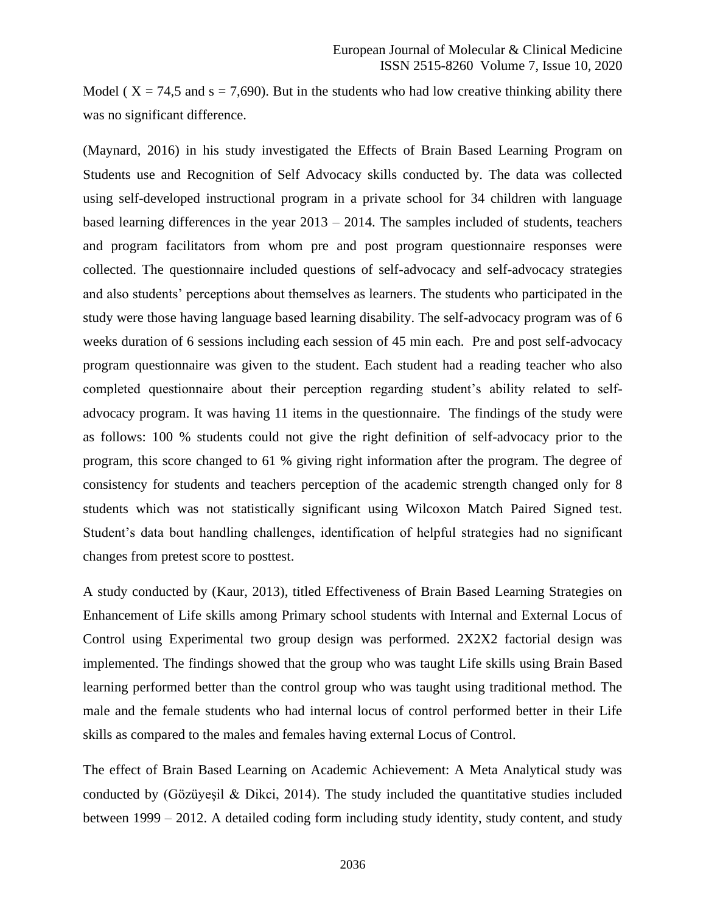Model ( $X = 74.5$  and  $s = 7,690$ ). But in the students who had low creative thinking ability there was no significant difference.

(Maynard, 2016) in his study investigated the Effects of Brain Based Learning Program on Students use and Recognition of Self Advocacy skills conducted by. The data was collected using self-developed instructional program in a private school for 34 children with language based learning differences in the year 2013 – 2014. The samples included of students, teachers and program facilitators from whom pre and post program questionnaire responses were collected. The questionnaire included questions of self-advocacy and self-advocacy strategies and also students' perceptions about themselves as learners. The students who participated in the study were those having language based learning disability. The self-advocacy program was of 6 weeks duration of 6 sessions including each session of 45 min each. Pre and post self-advocacy program questionnaire was given to the student. Each student had a reading teacher who also completed questionnaire about their perception regarding student's ability related to selfadvocacy program. It was having 11 items in the questionnaire. The findings of the study were as follows: 100 % students could not give the right definition of self-advocacy prior to the program, this score changed to 61 % giving right information after the program. The degree of consistency for students and teachers perception of the academic strength changed only for 8 students which was not statistically significant using Wilcoxon Match Paired Signed test. Student's data bout handling challenges, identification of helpful strategies had no significant changes from pretest score to posttest.

A study conducted by (Kaur, 2013), titled Effectiveness of Brain Based Learning Strategies on Enhancement of Life skills among Primary school students with Internal and External Locus of Control using Experimental two group design was performed. 2X2X2 factorial design was implemented. The findings showed that the group who was taught Life skills using Brain Based learning performed better than the control group who was taught using traditional method. The male and the female students who had internal locus of control performed better in their Life skills as compared to the males and females having external Locus of Control.

The effect of Brain Based Learning on Academic Achievement: A Meta Analytical study was conducted by (Gözüyesil & Dikci, 2014). The study included the quantitative studies included between 1999 – 2012. A detailed coding form including study identity, study content, and study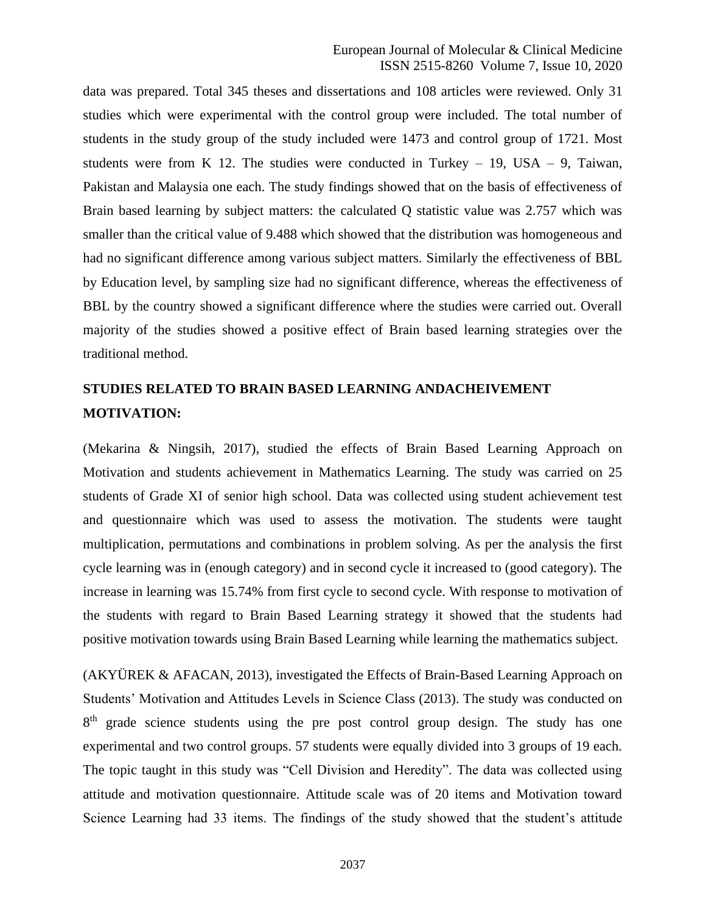data was prepared. Total 345 theses and dissertations and 108 articles were reviewed. Only 31 studies which were experimental with the control group were included. The total number of students in the study group of the study included were 1473 and control group of 1721. Most students were from K 12. The studies were conducted in Turkey  $-19$ , USA  $-9$ , Taiwan, Pakistan and Malaysia one each. The study findings showed that on the basis of effectiveness of Brain based learning by subject matters: the calculated Q statistic value was 2.757 which was smaller than the critical value of 9.488 which showed that the distribution was homogeneous and had no significant difference among various subject matters. Similarly the effectiveness of BBL by Education level, by sampling size had no significant difference, whereas the effectiveness of BBL by the country showed a significant difference where the studies were carried out. Overall majority of the studies showed a positive effect of Brain based learning strategies over the traditional method.

# **STUDIES RELATED TO BRAIN BASED LEARNING ANDACHEIVEMENT MOTIVATION:**

(Mekarina & Ningsih, 2017), studied the effects of Brain Based Learning Approach on Motivation and students achievement in Mathematics Learning. The study was carried on 25 students of Grade XI of senior high school. Data was collected using student achievement test and questionnaire which was used to assess the motivation. The students were taught multiplication, permutations and combinations in problem solving. As per the analysis the first cycle learning was in (enough category) and in second cycle it increased to (good category). The increase in learning was 15.74% from first cycle to second cycle. With response to motivation of the students with regard to Brain Based Learning strategy it showed that the students had positive motivation towards using Brain Based Learning while learning the mathematics subject.

(AKYÜREK & AFACAN, 2013), investigated the Effects of Brain-Based Learning Approach on Students' Motivation and Attitudes Levels in Science Class (2013). The study was conducted on 8<sup>th</sup> grade science students using the pre post control group design. The study has one experimental and two control groups. 57 students were equally divided into 3 groups of 19 each. The topic taught in this study was "Cell Division and Heredity". The data was collected using attitude and motivation questionnaire. Attitude scale was of 20 items and Motivation toward Science Learning had 33 items. The findings of the study showed that the student's attitude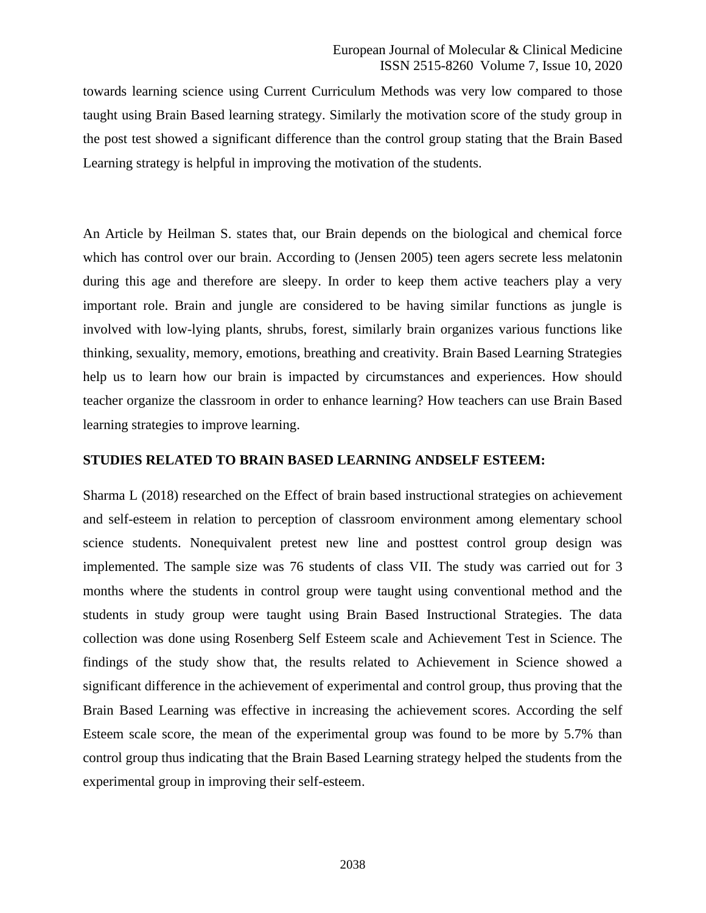towards learning science using Current Curriculum Methods was very low compared to those taught using Brain Based learning strategy. Similarly the motivation score of the study group in the post test showed a significant difference than the control group stating that the Brain Based Learning strategy is helpful in improving the motivation of the students.

An Article by Heilman S. states that, our Brain depends on the biological and chemical force which has control over our brain. According to (Jensen 2005) teen agers secrete less melatonin during this age and therefore are sleepy. In order to keep them active teachers play a very important role. Brain and jungle are considered to be having similar functions as jungle is involved with low-lying plants, shrubs, forest, similarly brain organizes various functions like thinking, sexuality, memory, emotions, breathing and creativity. Brain Based Learning Strategies help us to learn how our brain is impacted by circumstances and experiences. How should teacher organize the classroom in order to enhance learning? How teachers can use Brain Based learning strategies to improve learning.

### **STUDIES RELATED TO BRAIN BASED LEARNING ANDSELF ESTEEM:**

Sharma L (2018) researched on the Effect of brain based instructional strategies on achievement and self-esteem in relation to perception of classroom environment among elementary school science students. Nonequivalent pretest new line and posttest control group design was implemented. The sample size was 76 students of class VII. The study was carried out for 3 months where the students in control group were taught using conventional method and the students in study group were taught using Brain Based Instructional Strategies. The data collection was done using Rosenberg Self Esteem scale and Achievement Test in Science. The findings of the study show that, the results related to Achievement in Science showed a significant difference in the achievement of experimental and control group, thus proving that the Brain Based Learning was effective in increasing the achievement scores. According the self Esteem scale score, the mean of the experimental group was found to be more by 5.7% than control group thus indicating that the Brain Based Learning strategy helped the students from the experimental group in improving their self-esteem.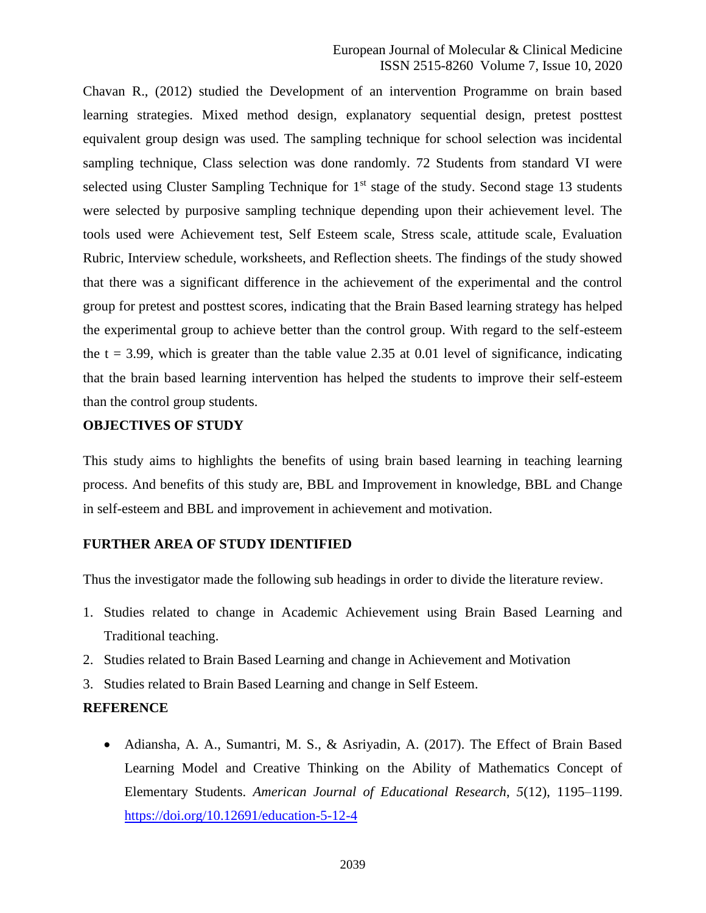### European Journal of Molecular & Clinical Medicine ISSN 2515-8260 Volume 7, Issue 10, 2020

Chavan R., (2012) studied the Development of an intervention Programme on brain based learning strategies. Mixed method design, explanatory sequential design, pretest posttest equivalent group design was used. The sampling technique for school selection was incidental sampling technique, Class selection was done randomly. 72 Students from standard VI were selected using Cluster Sampling Technique for  $1<sup>st</sup>$  stage of the study. Second stage 13 students were selected by purposive sampling technique depending upon their achievement level. The tools used were Achievement test, Self Esteem scale, Stress scale, attitude scale, Evaluation Rubric, Interview schedule, worksheets, and Reflection sheets. The findings of the study showed that there was a significant difference in the achievement of the experimental and the control group for pretest and posttest scores, indicating that the Brain Based learning strategy has helped the experimental group to achieve better than the control group. With regard to the self-esteem the  $t = 3.99$ , which is greater than the table value 2.35 at 0.01 level of significance, indicating that the brain based learning intervention has helped the students to improve their self-esteem than the control group students.

## **OBJECTIVES OF STUDY**

This study aims to highlights the benefits of using brain based learning in teaching learning process. And benefits of this study are, BBL and Improvement in knowledge, BBL and Change in self-esteem and BBL and improvement in achievement and motivation.

### **FURTHER AREA OF STUDY IDENTIFIED**

Thus the investigator made the following sub headings in order to divide the literature review.

- 1. Studies related to change in Academic Achievement using Brain Based Learning and Traditional teaching.
- 2. Studies related to Brain Based Learning and change in Achievement and Motivation
- 3. Studies related to Brain Based Learning and change in Self Esteem.

### **REFERENCE**

• Adiansha, A. A., Sumantri, M. S., & Asriyadin, A. (2017). The Effect of Brain Based Learning Model and Creative Thinking on the Ability of Mathematics Concept of Elementary Students. *American Journal of Educational Research*, *5*(12), 1195–1199. <https://doi.org/10.12691/education-5-12-4>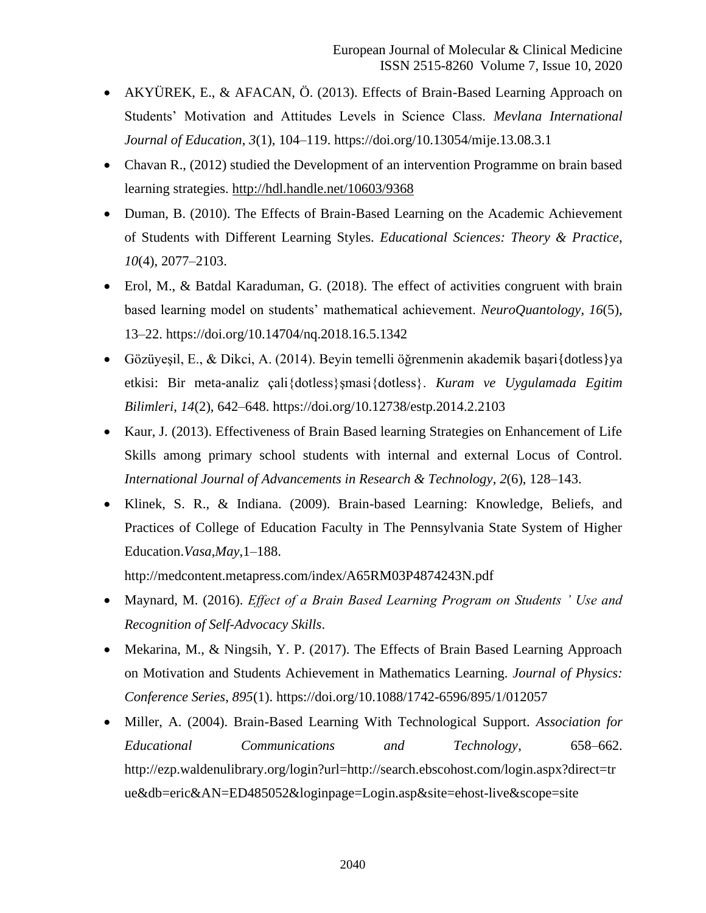- AKYÜREK, E., & AFACAN, Ö. (2013). Effects of Brain-Based Learning Approach on Students' Motivation and Attitudes Levels in Science Class. *Mevlana International Journal of Education*, *3*(1), 104–119. https://doi.org/10.13054/mije.13.08.3.1
- Chavan R., (2012) studied the Development of an intervention Programme on brain based learning strategies.<http://hdl.handle.net/10603/9368>
- Duman, B. (2010). The Effects of Brain-Based Learning on the Academic Achievement of Students with Different Learning Styles. *Educational Sciences: Theory & Practice*, *10*(4), 2077–2103.
- Erol, M., & Batdal Karaduman, G. (2018). The effect of activities congruent with brain based learning model on students' mathematical achievement. *NeuroQuantology*, *16*(5), 13–22. https://doi.org/10.14704/nq.2018.16.5.1342
- Gözüyesil, E., & Dikci, A. (2014). Beyin temelli öğrenmenin akademik başarı{dotless}ya etkisi: Bir meta-analiz çali{dotless}şmasi{dotless}. *Kuram ve Uygulamada Egitim Bilimleri*, *14*(2), 642–648. https://doi.org/10.12738/estp.2014.2.2103
- Kaur, J. (2013). Effectiveness of Brain Based learning Strategies on Enhancement of Life Skills among primary school students with internal and external Locus of Control. *International Journal of Advancements in Research & Technology*, *2*(6), 128–143.
- Klinek, S. R., & Indiana. (2009). Brain-based Learning: Knowledge, Beliefs, and Practices of College of Education Faculty in The Pennsylvania State System of Higher Education.*Vasa*,*May*,1–188.

http://medcontent.metapress.com/index/A65RM03P4874243N.pdf

- Maynard, M. (2016). *Effect of a Brain Based Learning Program on Students ' Use and Recognition of Self-Advocacy Skills*.
- Mekarina, M., & Ningsih, Y. P. (2017). The Effects of Brain Based Learning Approach on Motivation and Students Achievement in Mathematics Learning. *Journal of Physics: Conference Series*, *895*(1). https://doi.org/10.1088/1742-6596/895/1/012057
- Miller, A. (2004). Brain-Based Learning With Technological Support. *Association for Educational Communications and Technology*, 658–662. http://ezp.waldenulibrary.org/login?url=http://search.ebscohost.com/login.aspx?direct=tr ue&db=eric&AN=ED485052&loginpage=Login.asp&site=ehost-live&scope=site